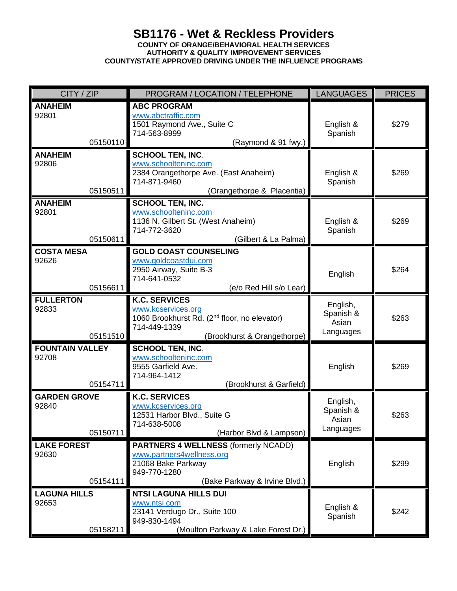## **SB1176 - Wet & Reckless Providers COUNTY OF ORANGE/BEHAVIORAL HEALTH SERVICES AUTHORITY & QUALITY IMPROVEMENT SERVICES COUNTY/STATE APPROVED DRIVING UNDER THE INFLUENCE PROGRAMS**

| CITY / ZIP                                  | PROGRAM / LOCATION / TELEPHONE                                                                                                                        | <b>LANGUAGES</b>                            | <b>PRICES</b> |
|---------------------------------------------|-------------------------------------------------------------------------------------------------------------------------------------------------------|---------------------------------------------|---------------|
| <b>ANAHEIM</b><br>92801<br>05150110         | <b>ABC PROGRAM</b><br>www.abctraffic.com<br>1501 Raymond Ave., Suite C<br>714-563-8999<br>(Raymond & 91 fwy.)                                         | English &<br>Spanish                        | \$279         |
| <b>ANAHEIM</b><br>92806<br>05150511         | <b>SCHOOL TEN, INC.</b><br>www.schoolteninc.com<br>2384 Orangethorpe Ave. (East Anaheim)<br>714-871-9460<br>(Orangethorpe & Placentia)                | English &<br>Spanish                        | \$269         |
| <b>ANAHEIM</b><br>92801<br>05150611         | <b>SCHOOL TEN, INC.</b><br>www.schoolteninc.com<br>1136 N. Gilbert St. (West Anaheim)<br>714-772-3620<br>(Gilbert & La Palma)                         | English &<br>Spanish                        | \$269         |
| <b>COSTA MESA</b><br>92626<br>05156611      | <b>GOLD COAST COUNSELING</b><br>www.goldcoastdui.com<br>2950 Airway, Suite B-3<br>714-641-0532<br>(e/o Red Hill s/o Lear)                             | English                                     | \$264         |
| <b>FULLERTON</b><br>92833<br>05151510       | <b>K.C. SERVICES</b><br>www.kcservices.org<br>1060 Brookhurst Rd. (2 <sup>nd</sup> floor, no elevator)<br>714-449-1339<br>(Brookhurst & Orangethorpe) | English,<br>Spanish &<br>Asian<br>Languages | \$263         |
| <b>FOUNTAIN VALLEY</b><br>92708<br>05154711 | <b>SCHOOL TEN, INC.</b><br>www.schoolteninc.com<br>9555 Garfield Ave.<br>714-964-1412<br>(Brookhurst & Garfield)                                      | English                                     | \$269         |
| <b>GARDEN GROVE</b><br>92840<br>05150711    | <b>K.C. SERVICES</b><br>www.kcservices.org<br>12531 Harbor Blvd., Suite G<br>714-638-5008<br>(Harbor Blvd & Lampson)                                  | English,<br>Spanish &<br>Asian<br>Languages | \$263         |
| <b>LAKE FOREST</b><br>92630<br>05154111     | <b>PARTNERS 4 WELLNESS (formerly NCADD)</b><br>www.partners4wellness.org<br>21068 Bake Parkway<br>949-770-1280<br>(Bake Parkway & Irvine Blvd.)       | English                                     | \$299         |
| <b>LAGUNA HILLS</b><br>92653<br>05158211    | <b>NTSI LAGUNA HILLS DUI</b><br>www.ntsi.com<br>23141 Verdugo Dr., Suite 100<br>949-830-1494<br>(Moulton Parkway & Lake Forest Dr.)                   | English &<br>Spanish                        | \$242         |